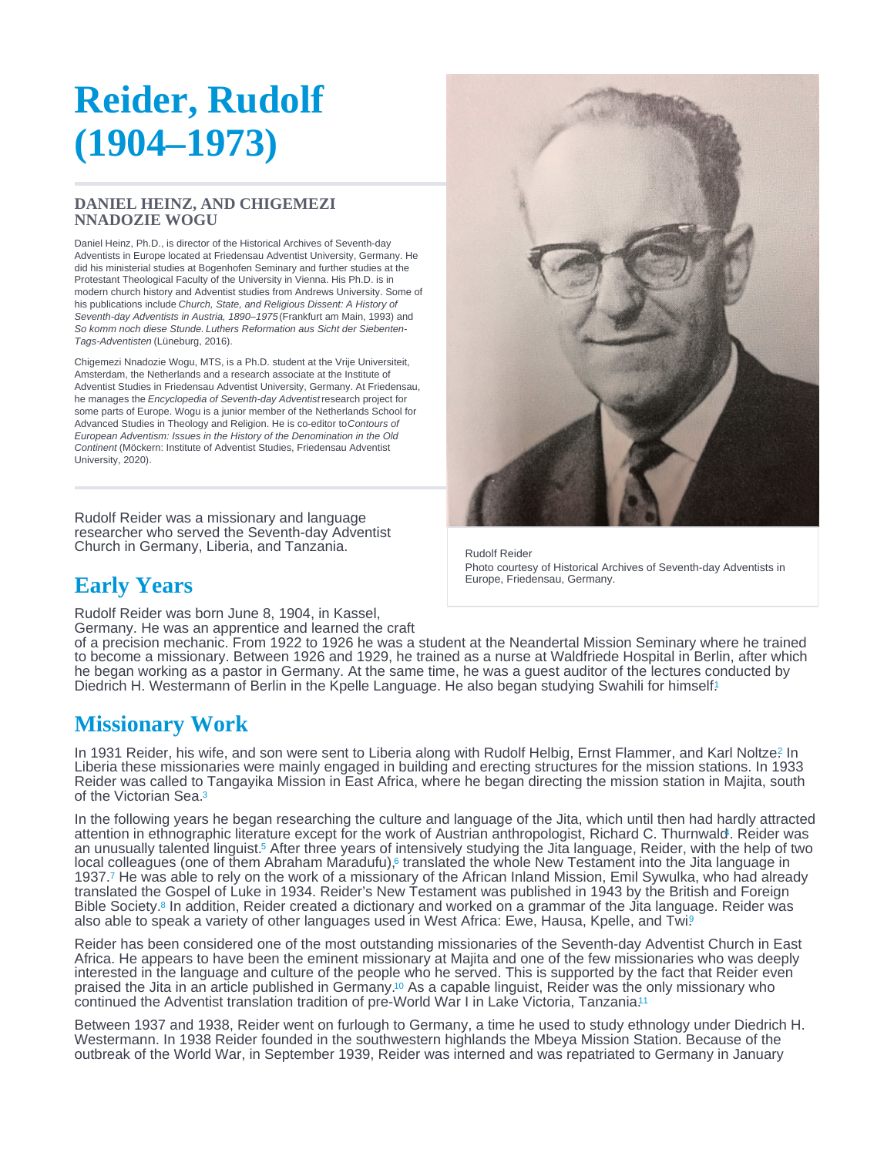# <span id="page-0-0"></span>Reider, Rudolf (1904–1973)

## DANIEL HEINZ, AND CHIGEMEZI NNADOZIE WOGU

Daniel Heinz, Ph.D., is director of the Historical Archives of Seventh-day Adventists in Europe located at Friedensau Adventist University, Germany. He did his ministerial studies at Bogenhofen Seminary and further studies at the Protestant Theological Faculty of the University in Vienna. His Ph.D. is in modern church history and Adventist studies from Andrews University. Some of his publications include Church, State, and Religious Dissent: A History of Seventh-day Adventists in Austria, 1890–1975 (Frankfurt am Main, 1993) and So komm noch diese Stunde. Luthers Reformation aus Sicht der Siebenten-Tags-Adventisten (Lüneburg, 2016).

Chigemezi Nnadozie Wogu, MTS, is a Ph.D. student at the Vrije Universiteit, Amsterdam, the Netherlands and a research associate at the Institute of Adventist Studies in Friedensau Adventist University, Germany. At Friedensau, he manages the Encyclopedia of Seventh-day Adventist research project for some parts of Europe. Wogu is a junior member of the Netherlands School for Advanced Studies in Theology and Religion. He is co-editor to Contours of European Adventism: Issues in the History of the Denomination in the Old Continent (Möckern: Institute of Adventist Studies, Friedensau Adventist University, 2020).

Rudolf Reider was a missionary and language researcher who served the Seventh-day Adventist Church in Germany, Liberia, and Tanzania.

# Early Years

Rudolf Reider was born June 8, 1904, in Kassel,

Germany. He was an apprentice and learned the craft

of a precision mechanic. From 1922 to 1926 he was a student at the Neandertal Mission Seminary where he trained to become a missionary. Between 1926 and 1929, he trained as a nurse at Waldfriede Hospital in Berlin, after which he began working as a pastor in Germany. At the same time, he was a guest auditor of the lectures conducted by Diedrich H. Westermann of Berlin in the Kpelle Language. He also began studying Swahili for himself!

# Missionary Work

In 1931 Reider, his wife, and son were sent to Liberia along with Rudolf Helbig, Ernst Flammer, and Karl Noltze? In Liberia these missionaries were mainly engaged in building and erecting structures for the mission stations. In 1933 Reider was called to Tangayika Mission in East Africa, where he began directing the mission station in Majita, south of the Victorian Sea.<sup>[3](#page-1-0)</sup>

In the following years he began researching the culture and language of the Jita, which until then had hardly attracted attention in ethnographic literature except for the work of Austrian anthropologist, Richard C. Thurnwal[d.](#page-1-0) Reider was 4 an unusually talented linguist[.](#page-1-0)<sup>5</sup> After three years of intensively studying the Jita language, Reider, with the help of two local colleagues (one of them Abraham Maradufu)[,](#page-1-0) $\epsilon$  translated the whole New Testament into the Jita language in 1937.7 He was able to rely on the work of a missionary of the African Inland Mission, Emil Sywulka, who had already translated the Gospel of Luke in 1934. Reider's New Testament was published in 1943 by the British and Foreign Bible Society[.](#page-2-0)<sup>8</sup> In addition, Reider created a dictionary and worked on a grammar of the Jita language. Reider was also able to speak a variety of other languages used in West Africa: Ewe, Hausa, Kpelle, and Twi.

Reider has been considered one of the most outstanding missionaries of the Seventh-day Adventist Church in East Africa. He appears to have been the eminent missionary at Majita and one of the few missionaries who was deeply interested in the language and culture of the people who he served. This is supported by the fact that Reider even praised the Jita in an article published in Germany.10 As a capable linguist, Reider was the only missionary who continued the Adventist translation tradition of pre-World War I in Lake Victoria, Tanzania.<sup>[11](#page-2-0)</sup>

Between 1937 and 1938, Reider went on furlough to Germany, a time he used to study ethnology under Diedrich H. Westermann. In 1938 Reider founded in the southwestern highlands the Mbeya Mission Station. Because of the outbreak of the World War, in September 1939, Reider was interned and was repatriated to Germany in January

Rudolf Reider Photo courtesy of Historical Archives of Seventh-day Adventists in Europe, Friedensau, Germany.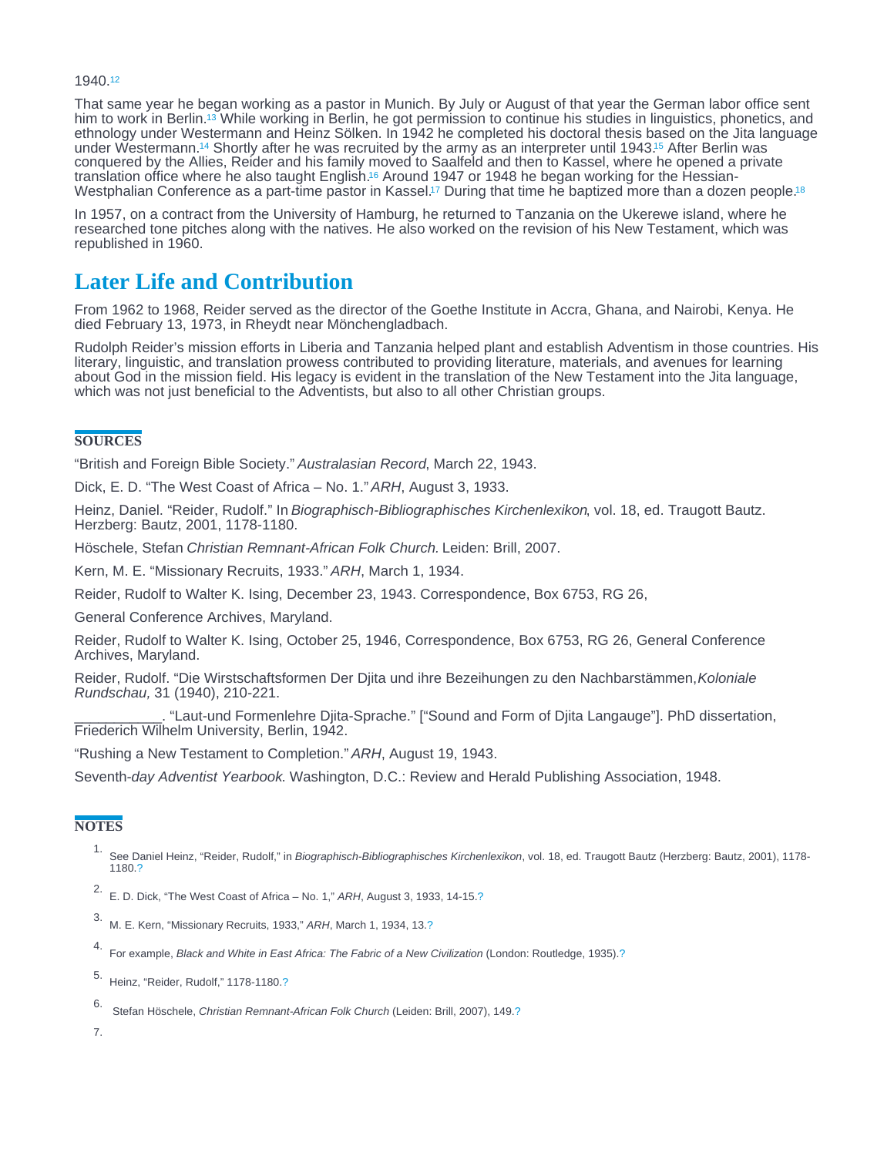#### <span id="page-1-0"></span>1940.[12](#page-2-0)

That same year he began working as a pastor in Munich. By July or August of that year the German labor office sent him to work in Berlin.<sup>13</sup> While working in Berlin, he got permission to continue his studies in linguistics, phonetics, and ethnology under Westermann and Heinz Sölken. In 1942 he completed his doctoral thesis based on the Jita language under Westermann[.](#page-2-0)<sup>14</sup> Shortly after he was recruited by the army as an interpreter until 1943.<sup>15</sup> After Berlin was conquered by the Allies, Reider and his family moved to Saalfeld and then to Kassel, where he opened a private translation office where he also taught English[.](#page-2-0)<sup>16</sup> Around 1947 or 1948 he began working for the Hessian-Westphalian Conference as a part-time pastor in Kassel.<sup>17</sup> During that time he baptized more than a dozen people.<sup>[18](#page-2-0)</sup>

In 1957, on a contract from the University of Hamburg, he returned to Tanzania on the Ukerewe island, where he researched tone pitches along with the natives. He also worked on the revision of his New Testament, which was republished in 1960.

## Later Life and Contribution

From 1962 to 1968, Reider served as the director of the Goethe Institute in Accra, Ghana, and Nairobi, Kenya. He died February 13, 1973, in Rheydt near Mönchengladbach.

Rudolph Reider's mission efforts in Liberia and Tanzania helped plant and establish Adventism in those countries. His literary, linguistic, and translation prowess contributed to providing literature, materials, and avenues for learning about God in the mission field. His legacy is evident in the translation of the New Testament into the Jita language, which was not just beneficial to the Adventists, but also to all other Christian groups.

## **SOURCES**

"British and Foreign Bible Society." Australasian Record, March 22, 1943.

Dick, E. D. "The West Coast of Africa – No. 1." ARH, August 3, 1933.

Heinz, Daniel. "Reider, Rudolf." In Biographisch-Bibliographisches Kirchenlexikon, vol. 18, ed. Traugott Bautz. Herzberg: Bautz, 2001, 1178-1180.

Höschele, Stefan Christian Remnant-African Folk Church. Leiden: Brill, 2007.

Kern, M. E. "Missionary Recruits, 1933." ARH, March 1, 1934.

Reider, Rudolf to Walter K. Ising, December 23, 1943. Correspondence, Box 6753, RG 26,

General Conference Archives, Maryland.

Reider, Rudolf to Walter K. Ising, October 25, 1946, Correspondence, Box 6753, RG 26, General Conference Archives, Maryland.

Reider, Rudolf. "Die Wirstschaftsformen Der Djita und ihre Bezeihungen zu den Nachbarstämmen, Koloniale Rundschau, 31 (1940), 210-221.

\_\_\_\_\_\_\_\_\_\_\_. "Laut-und Formenlehre Djita-Sprache." ["Sound and Form of Djita Langauge"]. PhD dissertation, Friederich Wilhelm University, Berlin, 1942.

"Rushing a New Testament to Completion." ARH, August 19, 1943.

Seventh-day Adventist Yearbook. Washington, D.C.: Review and Herald Publishing Association, 1948.

## **NOTES**

- 1. See Daniel Heinz, "Reider, Rudolf," in Biographisch-Bibliographisches Kirchenlexikon, vol. 18, ed. Traugott Bautz (Herzberg: Bautz, 2001), 1178- 1180.[?](#page-0-0)
- 2. E. D. Dick, "The West Coast of Africa No. 1," ARH, August 3, 1933, 14-15[.?](#page-0-0)
- 3. M. E. Kern, "Missionary Recruits, 1933," ARH, March 1, 1934, 13.[?](#page-0-0)
- 4. For example, Black and White in East Africa: The Fabric of a New Civilization (London: Routledge, 1935)[.?](#page-0-0)
- 5. Heinz, "Reider, Rudolf," 1178-1180[.?](#page-0-0)
- 6. Stefan Höschele, Christian Remnant-African Folk Church (Leiden: Brill, 2007), 149.[?](#page-0-0)
- 7.